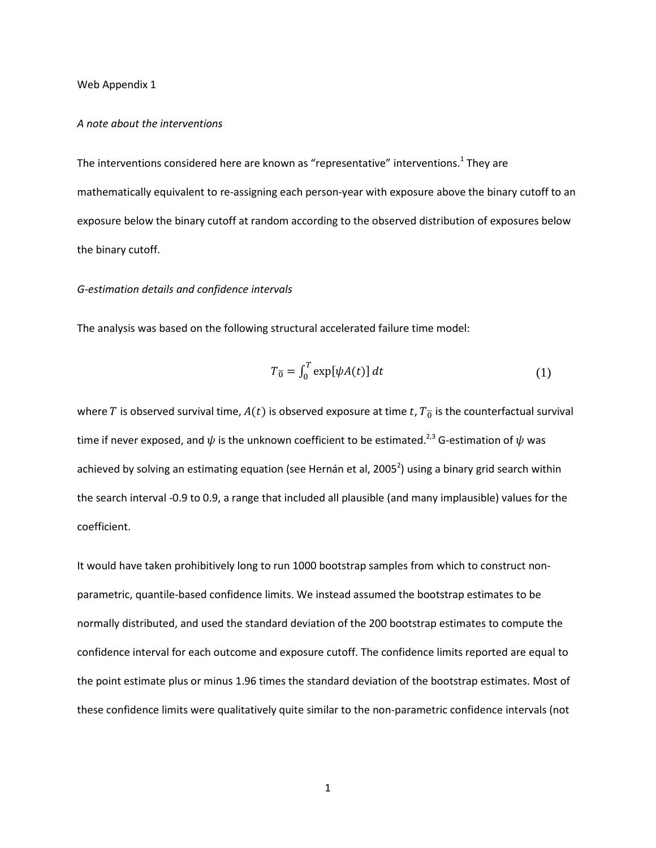Web Appendix 1

#### *A note about the interventions*

The interventions considered here are known as "representative" interventions[.](#page-5-0)<sup>1</sup> They are mathematically equivalent to re-assigning each person-year with exposure above the binary cutoff to an exposure below the binary cutoff at random according to the observed distribution of exposures below the binary cutoff.

# *G-estimation details and confidence intervals*

The analysis was based on the following structural accelerated failure time model:

$$
T_{\overline{0}} = \int_0^T \exp[\psi A(t)] dt \tag{1}
$$

where T is observed survival time,  $A(t)$  is observed exposure at time t,  $T_{\overline{0}}$  is the counterfactual survival time if never exposed, and  $\psi$  is the unknown coefficient to be estimated.<sup>2,[3](#page-5-2)</sup> G-estimation of  $\psi$  was achieved by solving an estimating equation (see Hernán et al, 200[5](#page-5-1)<sup>2</sup>) using a binary grid search within the search interval -0.9 to 0.9, a range that included all plausible (and many implausible) values for the coefficient.

It would have taken prohibitively long to run 1000 bootstrap samples from which to construct nonparametric, quantile-based confidence limits. We instead assumed the bootstrap estimates to be normally distributed, and used the standard deviation of the 200 bootstrap estimates to compute the confidence interval for each outcome and exposure cutoff. The confidence limits reported are equal to the point estimate plus or minus 1.96 times the standard deviation of the bootstrap estimates. Most of these confidence limits were qualitatively quite similar to the non-parametric confidence intervals (not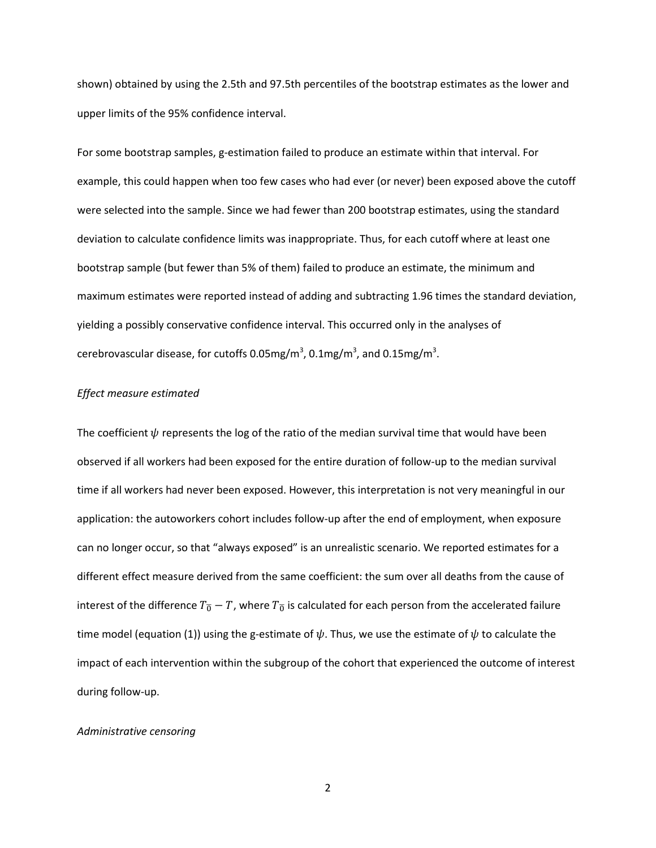shown) obtained by using the 2.5th and 97.5th percentiles of the bootstrap estimates as the lower and upper limits of the 95% confidence interval.

For some bootstrap samples, g-estimation failed to produce an estimate within that interval. For example, this could happen when too few cases who had ever (or never) been exposed above the cutoff were selected into the sample. Since we had fewer than 200 bootstrap estimates, using the standard deviation to calculate confidence limits was inappropriate. Thus, for each cutoff where at least one bootstrap sample (but fewer than 5% of them) failed to produce an estimate, the minimum and maximum estimates were reported instead of adding and subtracting 1.96 times the standard deviation, yielding a possibly conservative confidence interval. This occurred only in the analyses of cerebrovascular disease, for cutoffs 0.05mg/m<sup>3</sup>, 0.1mg/m<sup>3</sup>, and 0.15mg/m<sup>3</sup>.

# *Effect measure estimated*

The coefficient  $\psi$  represents the log of the ratio of the median survival time that would have been observed if all workers had been exposed for the entire duration of follow-up to the median survival time if all workers had never been exposed. However, this interpretation is not very meaningful in our application: the autoworkers cohort includes follow-up after the end of employment, when exposure can no longer occur, so that "always exposed" is an unrealistic scenario. We reported estimates for a different effect measure derived from the same coefficient: the sum over all deaths from the cause of interest of the difference  $T_{\overline{0}} - T$ , where  $T_{\overline{0}}$  is calculated for each person from the accelerated failure time model (equation (1)) using the g-estimate of  $\psi$ . Thus, we use the estimate of  $\psi$  to calculate the impact of each intervention within the subgroup of the cohort that experienced the outcome of interest during follow-up.

# *Administrative censoring*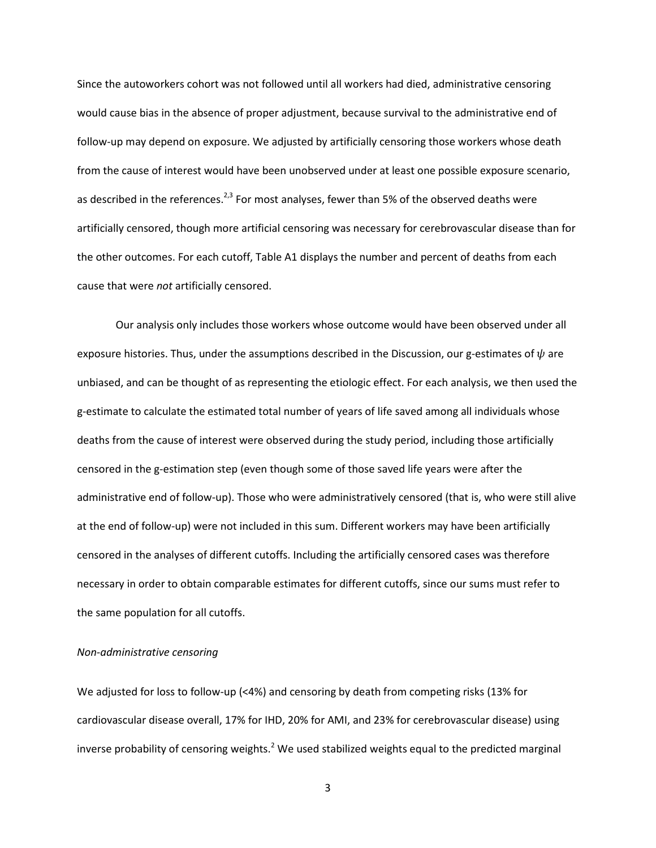Since the autoworkers cohort was not followed until all workers had died, administrative censoring would cause bias in the absence of proper adjustment, because survival to the administrative end of follow-up may depend on exposure. We adjusted by artificially censoring those workers whose death from the cause of interest would have been unobserved under at least one possible exposure scenario, as described in the references.<sup>[2,](#page-5-1)[3](#page-5-2)</sup> For most analyses, fewer than 5% of the observed deaths were artificially censored, though more artificial censoring was necessary for cerebrovascular disease than for the other outcomes. For each cutoff, Table A1 displays the number and percent of deaths from each cause that were *not* artificially censored.

Our analysis only includes those workers whose outcome would have been observed under all exposure histories. Thus, under the assumptions described in the Discussion, our g-estimates of  $\psi$  are unbiased, and can be thought of as representing the etiologic effect. For each analysis, we then used the g-estimate to calculate the estimated total number of years of life saved among all individuals whose deaths from the cause of interest were observed during the study period, including those artificially censored in the g-estimation step (even though some of those saved life years were after the administrative end of follow-up). Those who were administratively censored (that is, who were still alive at the end of follow-up) were not included in this sum. Different workers may have been artificially censored in the analyses of different cutoffs. Including the artificially censored cases was therefore necessary in order to obtain comparable estimates for different cutoffs, since our sums must refer to the same population for all cutoffs.

# *Non-administrative censoring*

We adjusted for loss to follow-up (<4%) and censoring by death from competing risks (13% for cardiovascular disease overall, 17% for IHD, 20% for AMI, and 23% for cerebrovascular disease) using inverse probability of censoring weights.<sup>[2](#page-5-1)</sup> We used stabilized weights equal to the predicted marginal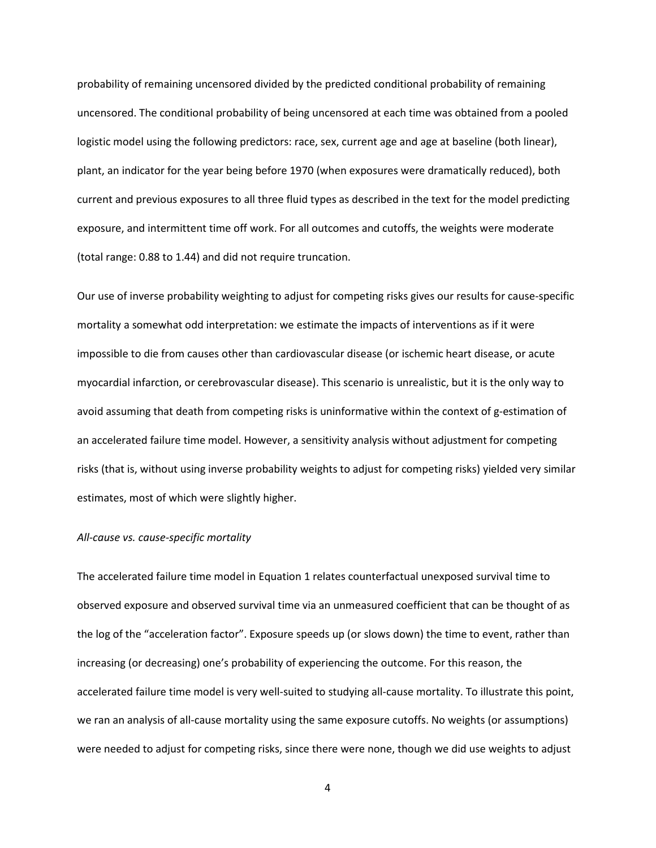probability of remaining uncensored divided by the predicted conditional probability of remaining uncensored. The conditional probability of being uncensored at each time was obtained from a pooled logistic model using the following predictors: race, sex, current age and age at baseline (both linear), plant, an indicator for the year being before 1970 (when exposures were dramatically reduced), both current and previous exposures to all three fluid types as described in the text for the model predicting exposure, and intermittent time off work. For all outcomes and cutoffs, the weights were moderate (total range: 0.88 to 1.44) and did not require truncation.

Our use of inverse probability weighting to adjust for competing risks gives our results for cause-specific mortality a somewhat odd interpretation: we estimate the impacts of interventions as if it were impossible to die from causes other than cardiovascular disease (or ischemic heart disease, or acute myocardial infarction, or cerebrovascular disease). This scenario is unrealistic, but it is the only way to avoid assuming that death from competing risks is uninformative within the context of g-estimation of an accelerated failure time model. However, a sensitivity analysis without adjustment for competing risks (that is, without using inverse probability weights to adjust for competing risks) yielded very similar estimates, most of which were slightly higher.

# *All-cause vs. cause-specific mortality*

The accelerated failure time model in Equation 1 relates counterfactual unexposed survival time to observed exposure and observed survival time via an unmeasured coefficient that can be thought of as the log of the "acceleration factor". Exposure speeds up (or slows down) the time to event, rather than increasing (or decreasing) one's probability of experiencing the outcome. For this reason, the accelerated failure time model is very well-suited to studying all-cause mortality. To illustrate this point, we ran an analysis of all-cause mortality using the same exposure cutoffs. No weights (or assumptions) were needed to adjust for competing risks, since there were none, though we did use weights to adjust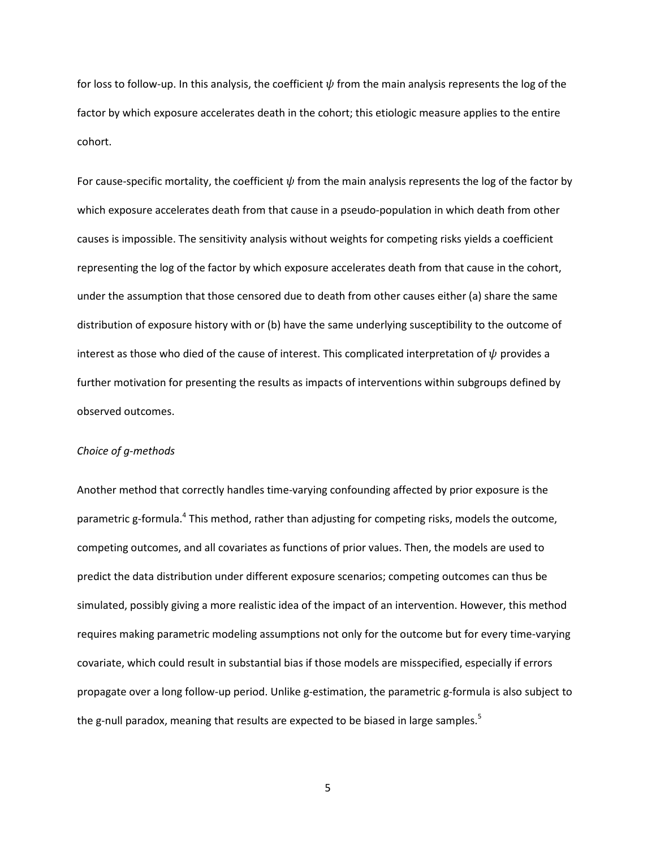for loss to follow-up. In this analysis, the coefficient  $\psi$  from the main analysis represents the log of the factor by which exposure accelerates death in the cohort; this etiologic measure applies to the entire cohort.

For cause-specific mortality, the coefficient  $\psi$  from the main analysis represents the log of the factor by which exposure accelerates death from that cause in a pseudo-population in which death from other causes is impossible. The sensitivity analysis without weights for competing risks yields a coefficient representing the log of the factor by which exposure accelerates death from that cause in the cohort, under the assumption that those censored due to death from other causes either (a) share the same distribution of exposure history with or (b) have the same underlying susceptibility to the outcome of interest as those who died of the cause of interest. This complicated interpretation of  $\psi$  provides a further motivation for presenting the results as impacts of interventions within subgroups defined by observed outcomes.

### *Choice of g-methods*

Another method that correctly handles time-varying confounding affected by prior exposure is the parametric g-formula[.](#page-5-3)<sup>4</sup> This method, rather than adjusting for competing risks, models the outcome, competing outcomes, and all covariates as functions of prior values. Then, the models are used to predict the data distribution under different exposure scenarios; competing outcomes can thus be simulated, possibly giving a more realistic idea of the impact of an intervention. However, this method requires making parametric modeling assumptions not only for the outcome but for every time-varying covariate, which could result in substantial bias if those models are misspecified, especially if errors propagate over a long follow-up period. Unlike g-estimation, the parametric g-formula is also subject to the g-null paradox, meaning that results are expected to be biased in large samples.<sup>[5](#page-5-4)</sup>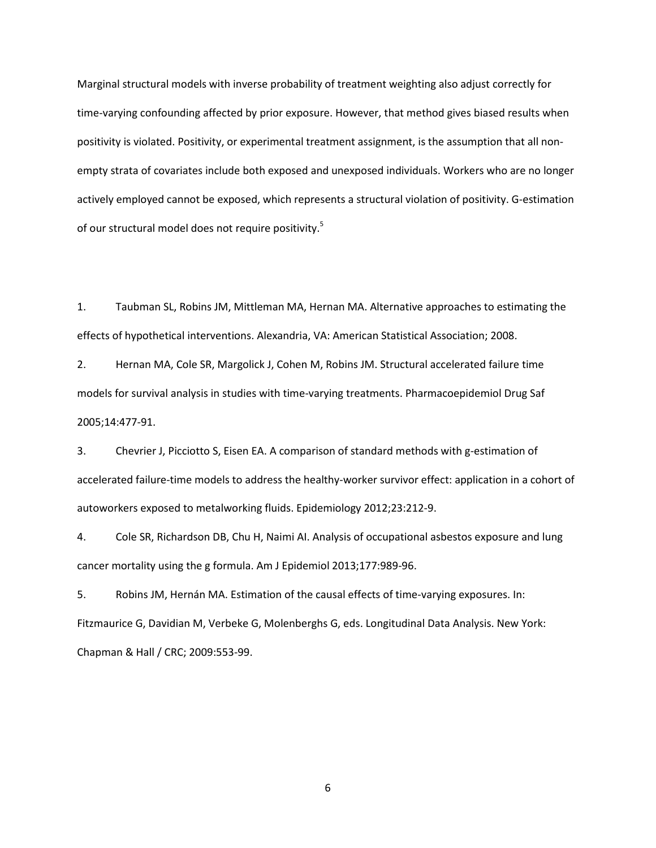Marginal structural models with inverse probability of treatment weighting also adjust correctly for time-varying confounding affected by prior exposure. However, that method gives biased results when positivity is violated. Positivity, or experimental treatment assignment, is the assumption that all nonempty strata of covariates include both exposed and unexposed individuals. Workers who are no longer actively employed cannot be exposed, which represents a structural violation of positivity. G-estimation of our structural model does not require positivity[.](#page-5-4)<sup>5</sup>

<span id="page-5-0"></span>1. Taubman SL, Robins JM, Mittleman MA, Hernan MA. Alternative approaches to estimating the effects of hypothetical interventions. Alexandria, VA: American Statistical Association; 2008.

<span id="page-5-1"></span>2. Hernan MA, Cole SR, Margolick J, Cohen M, Robins JM. Structural accelerated failure time models for survival analysis in studies with time-varying treatments. Pharmacoepidemiol Drug Saf 2005;14:477-91.

<span id="page-5-2"></span>3. Chevrier J, Picciotto S, Eisen EA. A comparison of standard methods with g-estimation of accelerated failure-time models to address the healthy-worker survivor effect: application in a cohort of autoworkers exposed to metalworking fluids. Epidemiology 2012;23:212-9.

<span id="page-5-3"></span>4. Cole SR, Richardson DB, Chu H, Naimi AI. Analysis of occupational asbestos exposure and lung cancer mortality using the g formula. Am J Epidemiol 2013;177:989-96.

<span id="page-5-4"></span>5. Robins JM, Hernán MA. Estimation of the causal effects of time-varying exposures. In: Fitzmaurice G, Davidian M, Verbeke G, Molenberghs G, eds. Longitudinal Data Analysis. New York: Chapman & Hall / CRC; 2009:553-99.